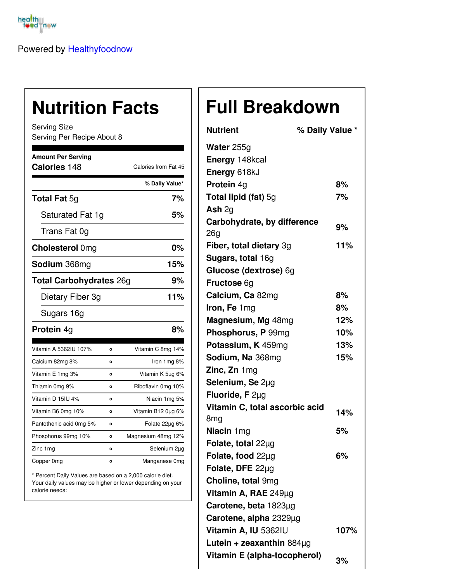

Powered by [Healthyfoodnow](https://healthyfoodnow.com)

## **Nutrition Facts**

Serving Size Serving Per Recipe About 8

| <b>Amount Per Serving</b>      |         |                      |  |
|--------------------------------|---------|----------------------|--|
| Calories 148                   |         | Calories from Fat 45 |  |
|                                |         | % Daily Value*       |  |
| <b>Total Fat 5g</b>            |         | 7%                   |  |
| Saturated Fat 1g               |         | 5%                   |  |
| Trans Fat 0g                   |         |                      |  |
| <b>Cholesterol Omg</b>         |         | 0%                   |  |
| <b>Sodium</b> 368mg            |         | 15%                  |  |
| <b>Total Carbohydrates 26g</b> |         | 9%                   |  |
| Dietary Fiber 3g               |         | 11%                  |  |
| Sugars 16g                     |         |                      |  |
| Protein 4g                     |         | 8%                   |  |
| Vitamin A 5362IU 107%          | O       | Vitamin C 8mg 14%    |  |
| Calcium 82mg 8%                | O       | Iron 1mg 8%          |  |
| Vitamin E 1mg 3%               | о       | Vitamin K 5µg 6%     |  |
| Thiamin 0mg 9%                 | o       | Riboflavin 0mg 10%   |  |
| Vitamin D 15IU 4%              | o       | Niacin 1mg 5%        |  |
| Vitamin B6 0mg 10%             | Ō       | Vitamin B12 0µg 6%   |  |
| Pantothenic acid 0mg 5%        | $\circ$ | Folate 22µg 6%       |  |
| Phosphorus 99mg 10%            | $\circ$ | Magnesium 48mg 12%   |  |
| Zinc 1 mg                      | O       | Selenium 2µg         |  |
| Copper 0mg                     | o       | Manganese 0mg        |  |

\* Percent Daily Values are based on a 2,000 calorie diet. Your daily values may be higher or lower depending on your calorie needs:

## **Full Breakdown**

| <b>Nutrient</b>                | % Daily Value * |
|--------------------------------|-----------------|
| Water 255g                     |                 |
| Energy 148kcal                 |                 |
| Energy 618kJ                   |                 |
| Protein 4g                     | 8%              |
| <b>Total lipid (fat)</b> 5g    | 7%              |
| Ash $2g$                       |                 |
| Carbohydrate, by difference    | 9%              |
| 26g                            |                 |
| Fiber, total dietary 3g        | 11%             |
| Sugars, total 16g              |                 |
| Glucose (dextrose) 6g          |                 |
| <b>Fructose 6g</b>             |                 |
| Calcium, Ca 82mg               | 8%              |
| Iron, Fe 1mg                   | 8%              |
| Magnesium, Mg 48mg             | 12%             |
| Phosphorus, P 99mg             | 10%             |
| Potassium, K 459mg             | 13%             |
| Sodium, Na 368mg               | 15%             |
| Zinc, Zn 1mg                   |                 |
| Selenium, Se 2µg               |                 |
| Fluoride, F 2µg                |                 |
| Vitamin C, total ascorbic acid | 14%             |
| 8 <sub>mg</sub>                |                 |
| Niacin 1mg                     | 5%              |
| Folate, total $22\mu$ g        |                 |
| Folate, food 22µg              | 6%              |
| Folate, DFE 22µg               |                 |
| Choline, total 9mg             |                 |
| Vitamin A, RAE 249µg           |                 |
| Carotene, beta 1823µg          |                 |
| Carotene, alpha 2329µg         |                 |
| Vitamin A, IU 5362IU           | 107%            |
| Lutein + zeaxanthin $884\mu$ g |                 |
| Vitamin E (alpha-tocopherol)   | 3%              |